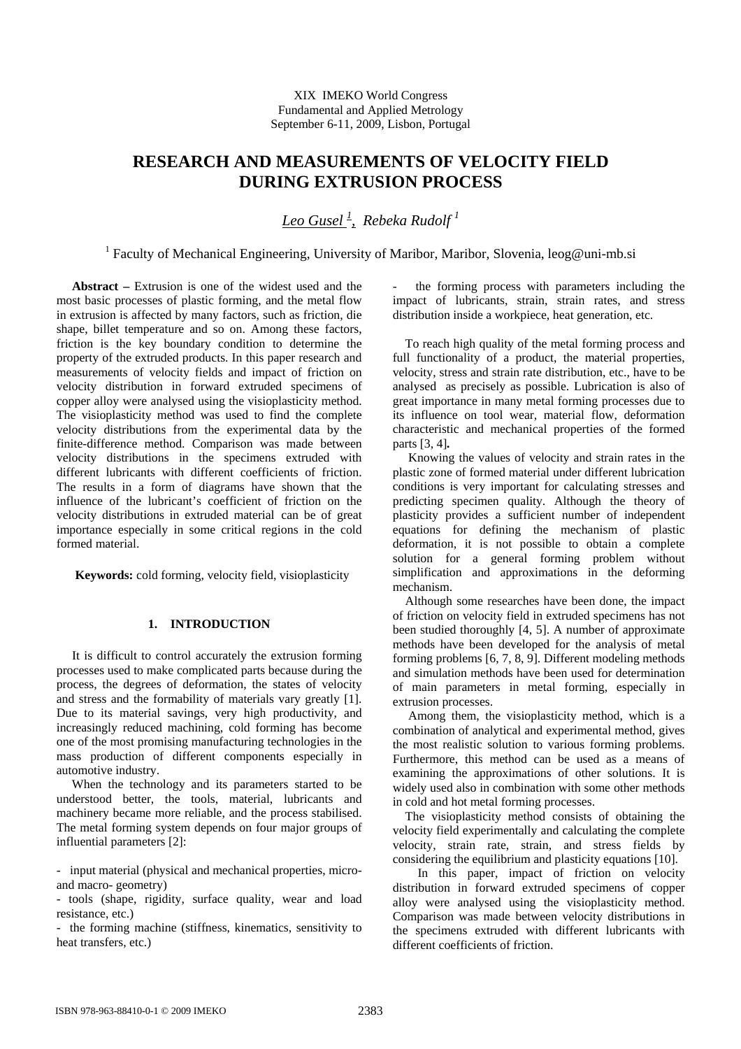# **RESEARCH AND MEASUREMENTS OF VELOCITY FIELD DURING EXTRUSION PROCESS**

*Leo Gusel 1 , Rebeka Rudolf 1* 

<sup>1</sup> Faculty of Mechanical Engineering, University of Maribor, Maribor, Slovenia, [leog@uni-mb.si](mailto:leog@uni-mb.si)

 **Abstract –** Extrusion is one of the widest used and the most basic processes of plastic forming, and the metal flow in extrusion is affected by many factors, such as friction, die shape, billet temperature and so on. Among these factors, friction is the key boundary condition to determine the property of the extruded products. In this paper research and measurements of velocity fields and impact of friction on velocity distribution in forward extruded specimens of copper alloy were analysed using the visioplasticity method. The visioplasticity method was used to find the complete velocity distributions from the experimental data by the finite-difference method. Comparison was made between velocity distributions in the specimens extruded with different lubricants with different coefficients of friction. The results in a form of diagrams have shown that the influence of the lubricant's coefficient of friction on the velocity distributions in extruded material can be of great importance especially in some critical regions in the cold formed material.

**Keywords:** cold forming, velocity field, visioplasticity

# **1. INTRODUCTION**

 It is difficult to control accurately the extrusion forming processes used to make complicated parts because during the process, the degrees of deformation, the states of velocity and stress and the formability of materials vary greatly [1]. Due to its material savings, very high productivity, and increasingly reduced machining, cold forming has become one of the most promising manufacturing technologies in the mass production of different components especially in automotive industry.

 When the technology and its parameters started to be understood better, the tools, material, lubricants and machinery became more reliable, and the process stabilised. The metal forming system depends on four major groups of influential parameters [2]:

- tools (shape, rigidity, surface quality, wear and load resistance, etc.)

- the forming machine (stiffness, kinematics, sensitivity to heat transfers, etc.)

the forming process with parameters including the impact of lubricants, strain, strain rates, and stress distribution inside a workpiece, heat generation, etc.

 To reach high quality of the metal forming process and full functionality of a product, the material properties, velocity, stress and strain rate distribution, etc., have to be analysed as precisely as possible. Lubrication is also of great importance in many metal forming processes due to its influence on tool wear, material flow, deformation characteristic and mechanical properties of the formed parts [3, 4]*.* 

Knowing the values of velocity and strain rates in the plastic zone of formed material under different lubrication conditions is very important for calculating stresses and predicting specimen quality. Although the theory of plasticity provides a sufficient number of independent equations for defining the mechanism of plastic deformation, it is not possible to obtain a complete solution for a general forming problem without simplification and approximations in the deforming mechanism.

 Although some researches have been done, the impact of friction on velocity field in extruded specimens has not been studied thoroughly [4, 5]. A number of approximate methods have been developed for the analysis of metal forming problems [6, 7, 8, 9]. Different modeling methods and simulation methods have been used for determination of main parameters in metal forming, especially in extrusion processes.

 Among them, the visioplasticity method, which is a combination of analytical and experimental method, gives the most realistic solution to various forming problems. Furthermore, this method can be used as a means of examining the approximations of other solutions. It is widely used also in combination with some other methods in cold and hot metal forming processes.

 The visioplasticity method consists of obtaining the velocity field experimentally and calculating the complete velocity, strain rate, strain, and stress fields by considering the equilibrium and plasticity equations [10].

 In this paper, impact of friction on velocity distribution in forward extruded specimens of copper alloy were analysed using the visioplasticity method. Comparison was made between velocity distributions in the specimens extruded with different lubricants with different coefficients of friction.

<sup>-</sup> input material (physical and mechanical properties, microand macro- geometry)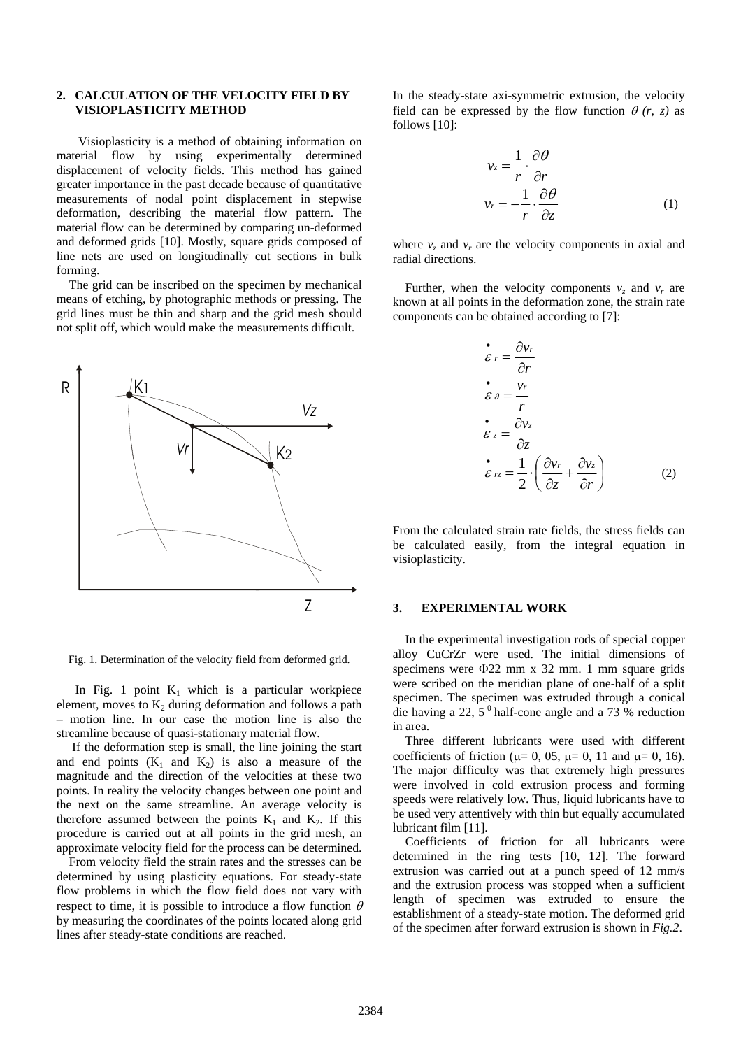## **2. CALCULATION OF THE VELOCITY FIELD BY VISIOPLASTICITY METHOD**

 Visioplasticity is a method of obtaining information on material flow by using experimentally determined displacement of velocity fields. This method has gained greater importance in the past decade because of quantitative measurements of nodal point displacement in stepwise deformation, describing the material flow pattern. The material flow can be determined by comparing un-deformed and deformed grids [10]. Mostly, square grids composed of line nets are used on longitudinally cut sections in bulk forming.

 The grid can be inscribed on the specimen by mechanical means of etching, by photographic methods or pressing. The grid lines must be thin and sharp and the grid mesh should not split off, which would make the measurements difficult.





In Fig. 1 point  $K_1$  which is a particular workpiece element, moves to  $K_2$  during deformation and follows a path – motion line. In our case the motion line is also the streamline because of quasi-stationary material flow.

 If the deformation step is small, the line joining the start and end points  $(K_1 \text{ and } K_2)$  is also a measure of the magnitude and the direction of the velocities at these two points. In reality the velocity changes between one point and the next on the same streamline. An average velocity is therefore assumed between the points  $K_1$  and  $K_2$ . If this procedure is carried out at all points in the grid mesh, an approximate velocity field for the process can be determined.

 From velocity field the strain rates and the stresses can be determined by using plasticity equations. For steady-state flow problems in which the flow field does not vary with respect to time, it is possible to introduce a flow function  $\theta$ by measuring the coordinates of the points located along grid lines after steady-state conditions are reached.

In the steady-state axi-symmetric extrusion, the velocity field can be expressed by the flow function  $\theta$  (*r*, *z*) as follows [10]:

$$
v_z = \frac{1}{r} \cdot \frac{\partial \theta}{\partial r}
$$
  

$$
v_r = -\frac{1}{r} \cdot \frac{\partial \theta}{\partial z}
$$
 (1)

where  $v_z$  and  $v_r$  are the velocity components in axial and radial directions.

Further, when the velocity components  $v_z$  and  $v_r$  are known at all points in the deformation zone, the strain rate components can be obtained according to [7]:

$$
\begin{aligned}\n\dot{\varepsilon}_r &= \frac{\partial v_r}{\partial r} \\
\dot{\varepsilon}_s &= \frac{v_r}{r} \\
\dot{\varepsilon}_z &= \frac{\partial v_z}{\partial z} \\
\dot{\varepsilon}_r &= \frac{1}{2} \cdot \left( \frac{\partial v_r}{\partial z} + \frac{\partial v_z}{\partial r} \right)\n\end{aligned}
$$
(2)

From the calculated strain rate fields, the stress fields can be calculated easily, from the integral equation in visioplasticity.

#### **3. EXPERIMENTAL WORK**

 In the experimental investigation rods of special copper alloy CuCrZr were used. The initial dimensions of specimens were Φ22 mm x 32 mm. 1 mm square grids were scribed on the meridian plane of one-half of a split specimen. The specimen was extruded through a conical die having a 22,  $5^{\degree}$  half-cone angle and a 73 % reduction in area.

 Three different lubricants were used with different coefficients of friction ( $\mu$ = 0, 05,  $\mu$ = 0, 11 and  $\mu$ = 0, 16). The major difficulty was that extremely high pressures were involved in cold extrusion process and forming speeds were relatively low. Thus, liquid lubricants have to be used very attentively with thin but equally accumulated lubricant film [11].

 Coefficients of friction for all lubricants were determined in the ring tests [10, 12]. The forward extrusion was carried out at a punch speed of 12 mm/s and the extrusion process was stopped when a sufficient length of specimen was extruded to ensure the establishment of a steady-state motion. The deformed grid of the specimen after forward extrusion is shown in *Fig.2*.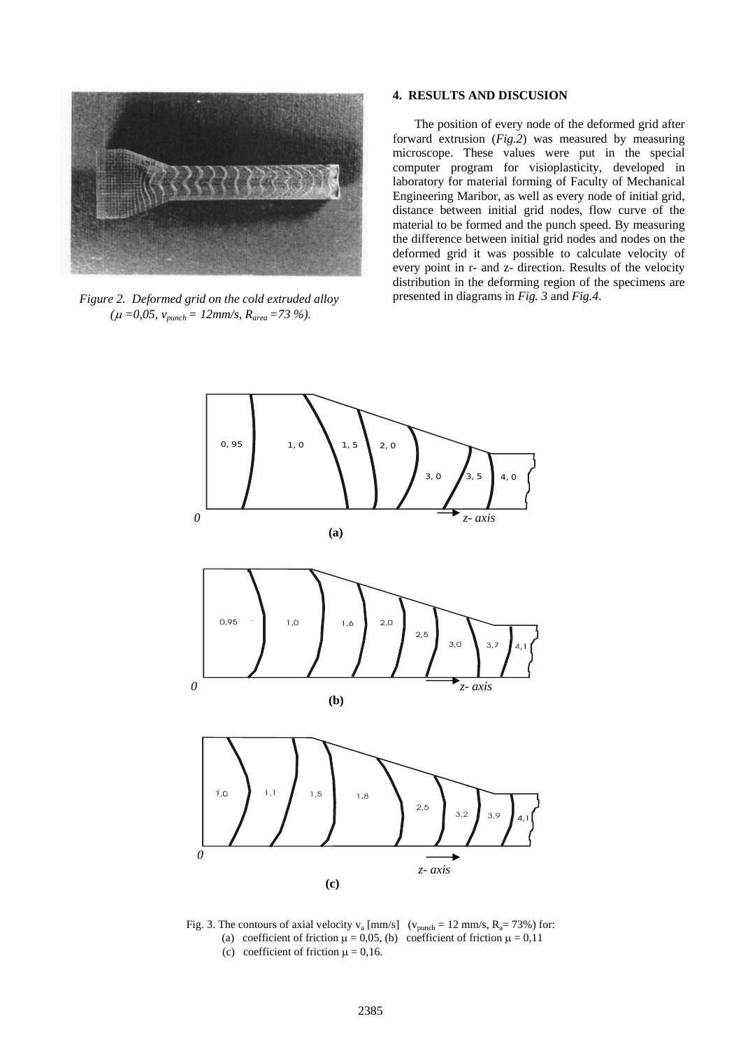

*Figure 2. Deformed grid on the cold extruded alloy (*μ *=0,05, vpunch = 12mm/s, Rarea =73 %).* 

#### **4. RESULTS AND DISCU SION**

The position of every node of the deformed grid after forward extrusion  $(Fig.2)$  was measured by measuring microscope. These values were put in the special computer program for visioplasticity, developed in laboratory for material forming of Faculty of Mechanical Engineering Maribor, as well as every node of initial grid, distance between initial grid nodes, flow curve of the material to be formed and the punch speed. By measuring the difference between initial grid nodes and nodes on the deformed grid it was possible to calculate velocity of every point in r- and z- direction. Results of the velocity distribution in the deforming region of the specimens are presented in diagrams in *Fig. 3* and *Fig.4*.



Fig. 3. The contours of axial velocity  $v_a$  [mm/s] ( $v_{punch} = 12$  mm/s,  $R_a = 73\%$ ) for: (a) coefficient of friction  $\mu = 0.05$ , (b) coefficient of friction  $\mu = 0.11$ (c) coefficient of friction  $\mu = 0.16$ .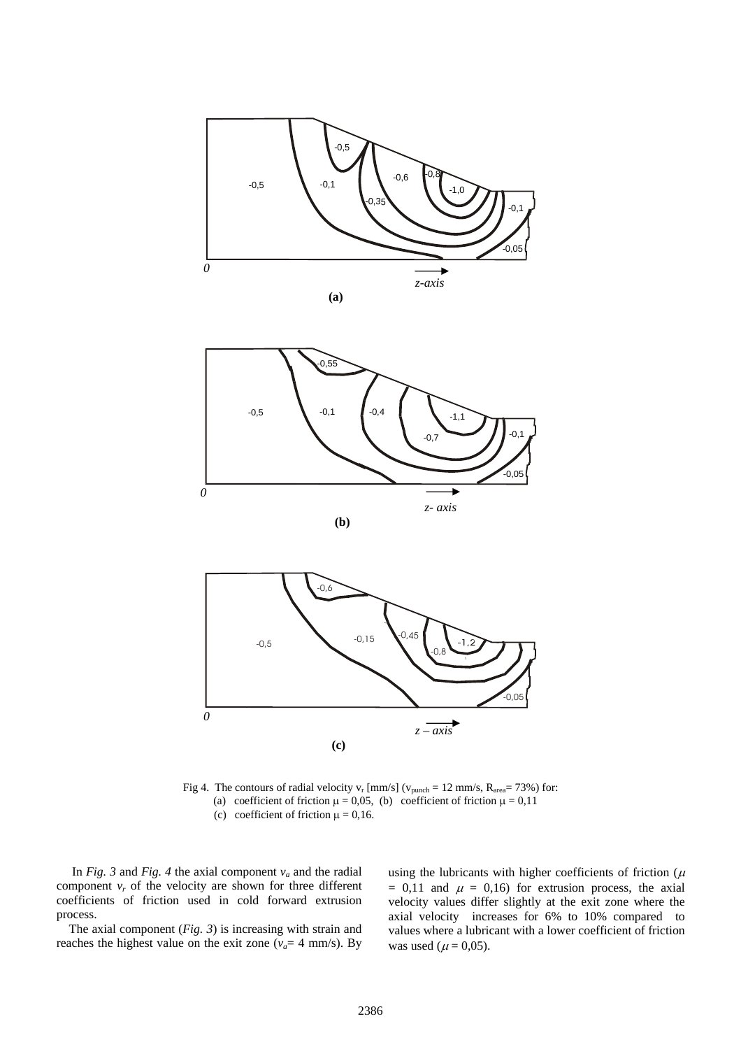





Fig 4. The contours of radial velocity  $v_r$  [mm/s] ( $v_{punch} = 12$  mm/s,  $R_{area} = 73\%$ ) for: (a) coefficient of friction  $\mu = 0.05$ , (b) coefficient of friction  $\mu = 0.11$ (c) coefficient of friction  $\mu = 0.16$ .

coefficients of friction used in cold forward extrusion In *Fig.* 3 and *Fig.* 4 the axial component  $v_a$  and the radial component  $v_r$  of the velocity are shown for three different process.

 The axial component (*Fig. 3*) is increasing with strain and reaches the highest value on the exit zone ( $v_a$ = 4 mm/s). By

axial velocity increases for 6% to 10% compared to using the lubricants with higher coefficients of friction ( $\mu$  $= 0.11$  and  $\mu = 0.16$ ) for extrusion process, the axial velocity values differ slightly at the exit zone where the values where a lubricant with a lower coefficient of friction was used ( $\mu$  = 0,05).